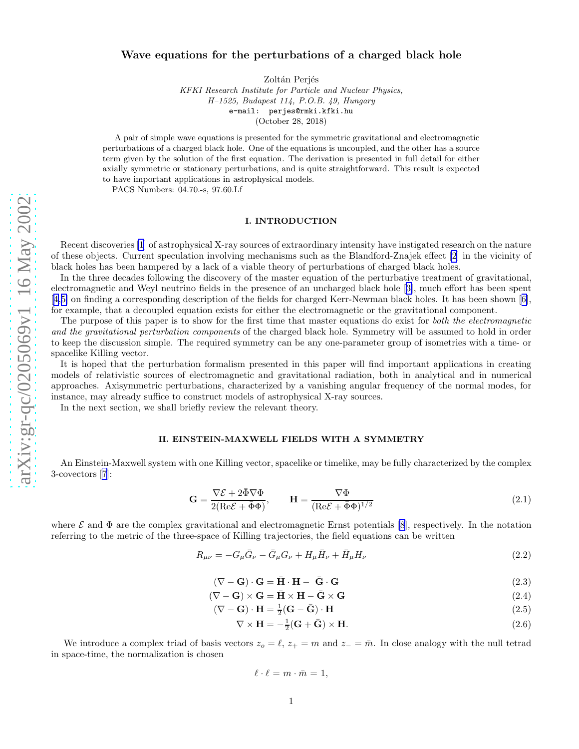# <span id="page-0-0"></span>Wave equations for the perturbations of a charged black hole

Zoltán Perjés

KFKI Research Institute for Particle and Nuclear Physics, H–1525, Budapest 114, P.O.B. 49, Hungary e-mail: perjes@rmki.kfki.hu (October 28, 2018)

A pair of simple wave equations is presented for the symmetric gravitational and electromagnetic perturbations of a charged black hole. One of the equations is uncoupled, and the other has a source term given by the solution of the first equation. The derivation is presented in full detail for either axially symmetric or stationary perturbations, and is quite straightforward. This result is expected to have important applications in astrophysical models.

PACS Numbers: 04.70.-s, 97.60.Lf

# I. INTRODUCTION

Recent discoveries [\[1](#page-3-0)] of astrophysical X-ray sources of extraordinary intensity have instigated research on the nature of these objects. Current speculation involving mechanisms such as the Blandford-Znajek effect [\[2](#page-3-0)] in the vicinity of black holes has been hampered by a lack of a viable theory of perturbations of charged black holes.

In the three decades following the discovery of the master equation of the perturbative treatment of gravitational, electromagnetic and Weyl neutrino fields in the presence of an uncharged black hole[[3\]](#page-3-0), much effort has been spent [[4,5\]](#page-3-0) on finding a corresponding description of the fields for charged Kerr-Newman black holes. It has been shown[[6\]](#page-3-0), for example, that a decoupled equation exists for either the electromagnetic or the gravitational component.

The purpose of this paper is to show for the first time that master equations do exist for both the electromagnetic and the gravitational perturbation components of the charged black hole. Symmetry will be assumed to hold in order to keep the discussion simple. The required symmetry can be any one-parameter group of isometries with a time- or spacelike Killing vector.

It is hoped that the perturbation formalism presented in this paper will find important applications in creating models of relativistic sources of electromagnetic and gravitational radiation, both in analytical and in numerical approaches. Axisymmetric perturbations, characterized by a vanishing angular frequency of the normal modes, for instance, may already suffice to construct models of astrophysical X-ray sources.

In the next section, we shall briefly review the relevant theory.

## II. EINSTEIN-MAXWELL FIELDS WITH A SYMMETRY

An Einstein-Maxwell system with one Killing vector, spacelike or timelike, may be fully characterized by the complex 3-covectors[[7](#page-3-0)]:

$$
\mathbf{G} = \frac{\nabla \mathcal{E} + 2\bar{\Phi}\nabla \Phi}{2(\text{Re}\mathcal{E} + \bar{\Phi}\Phi)}, \qquad \mathbf{H} = \frac{\nabla \Phi}{(\text{Re}\mathcal{E} + \bar{\Phi}\Phi)^{1/2}} \tag{2.1}
$$

where  $\mathcal E$  and  $\Phi$  are the complex gravitational and electromagnetic Ernst potentials [\[8](#page-3-0)], respectively. In the notation referring to the metric of the three-space of Killing trajectories, the field equations can be written

$$
R_{\mu\nu} = -G_{\mu}\bar{G}_{\nu} - \bar{G}_{\mu}G_{\nu} + H_{\mu}\bar{H}_{\nu} + \bar{H}_{\mu}H_{\nu}
$$
\n(2.2)

$$
(\nabla - \mathbf{G}) \cdot \mathbf{G} = \bar{\mathbf{H}} \cdot \mathbf{H} - \bar{\mathbf{G}} \cdot \mathbf{G}
$$
 (2.3)

$$
(\nabla - \mathbf{G}) \times \mathbf{G} = \bar{\mathbf{H}} \times \mathbf{H} - \bar{\mathbf{G}} \times \mathbf{G}
$$
 (2.4)

$$
(\nabla - \mathbf{G}) \cdot \mathbf{H} = \frac{1}{2} (\mathbf{G} - \bar{\mathbf{G}}) \cdot \mathbf{H}
$$
 (2.5)

$$
\nabla \times \mathbf{H} = -\frac{1}{2}(\mathbf{G} + \bar{\mathbf{G}}) \times \mathbf{H}.
$$
 (2.6)

We introduce a complex triad of basis vectors  $z_o = \ell$ ,  $z_+ = m$  and  $z_- = \bar{m}$ . In close analogy with the null tetrad in space-time, the normalization is chosen

$$
\ell \cdot \ell = m \cdot \bar{m} = 1,
$$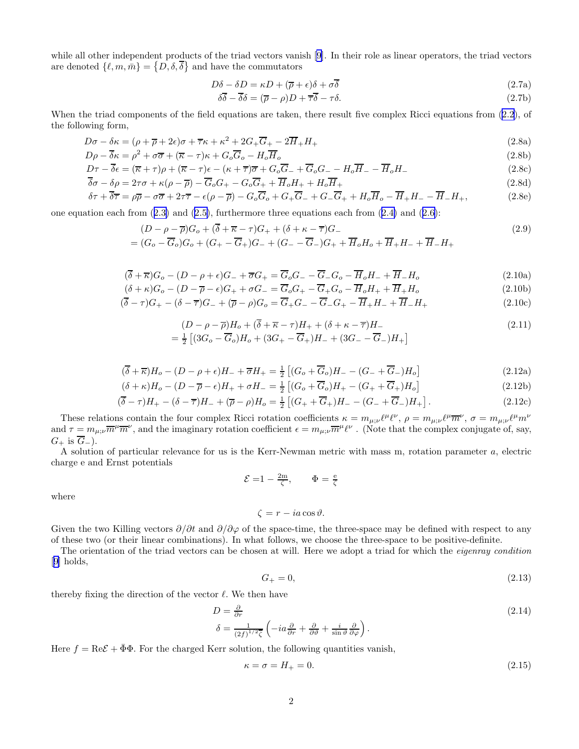<span id="page-1-0"></span>while all other independent products of the triad vectors vanish [\[9](#page-3-0)]. In their role as linear operators, the triad vectors are denoted  $\{\ell, m, \bar{m}\} = \{D, \delta, \bar{\delta}\}\$ and have the commutators

$$
D\delta - \delta D = \kappa D + (\overline{\rho} + \epsilon)\delta + \sigma \overline{\delta}
$$
 (2.7a)

$$
\delta\overline{\delta} - \overline{\delta}\delta = (\overline{\rho} - \rho)D + \overline{\tau}\overline{\delta} - \tau\delta. \tag{2.7b}
$$

When the triad components of the field equations are taken, there result five complex Ricci equations from  $(2.2)$ , of the following form,

$$
D\sigma - \delta\kappa = (\rho + \overline{\rho} + 2\epsilon)\sigma + \overline{\tau}\kappa + \kappa^2 + 2G_+\overline{G}_+ - 2\overline{H}_+H_+ \tag{2.8a}
$$

$$
D\rho - \overline{\delta}\kappa = \rho^2 + \sigma\overline{\sigma} + (\overline{\kappa} - \tau)\kappa + G_o\overline{G}_o - H_o\overline{H}_o
$$
\n(2.8b)

$$
D\tau - \overline{\delta}\epsilon = (\overline{\kappa} + \tau)\rho + (\overline{\kappa} - \tau)\epsilon - (\kappa + \overline{\tau})\overline{\sigma} + G_o\overline{G}_- + \overline{G}_oG_- - H_o\overline{H}_- - \overline{H}_oH_-
$$
\n(2.8c)

$$
\delta\sigma - \delta\rho = 2\tau\sigma + \kappa(\rho - \overline{\rho}) - G_oG_+ - G_oG_+ + H_oH_+ + H_oH_+
$$
\n
$$
\delta\tau + \overline{\delta\tau} = \rho\overline{\rho} - \sigma\overline{\sigma} + 2\tau\overline{\tau} - \epsilon(\rho - \overline{\rho}) - G_oG_o + G_+G_-H_+ + H_oH_o - \overline{H}_+H_- - \overline{H}_-H_+, \tag{2.8e}
$$

oneequation each from  $(2.3)$  $(2.3)$  and  $(2.5)$  $(2.5)$ , furthermore three equations each from  $(2.4)$  $(2.4)$  and  $(2.6)$  $(2.6)$ :

$$
(D - \rho - \overline{\rho})G_o + (\overline{\delta} + \overline{\kappa} - \tau)G_+ + (\delta + \kappa - \overline{\tau})G_-
$$
  
=  $(G_o - \overline{G}_o)G_o + (G_+ - \overline{G}_+)G_- + (G_- - \overline{G}_-)G_+ + \overline{H}_oH_o + \overline{H}_+H_- + \overline{H}_-H_+$  (2.9)

$$
(\overline{\delta} + \overline{\kappa})G_o - (D - \rho + \epsilon)G_- + \overline{\sigma}G_+ = \overline{G}_oG_- - \overline{G}_-G_o - \overline{H}_oH_- + \overline{H}_-H_o \tag{2.10a}
$$

$$
(\delta + \kappa)G_o - (D - \overline{\rho} - \epsilon)G_+ + \sigma G_- = \overline{G}_o G_+ - \overline{G}_+ G_o - \overline{H}_o H_+ + \overline{H}_+ H_o \tag{2.10b}
$$

$$
(\delta - \tau)G_{+} - (\delta - \overline{\tau})G_{-} + (\overline{\rho} - \rho)G_{o} = G_{+}G_{-} - G_{-}G_{+} - H_{+}H_{-} + H_{-}H_{+}
$$
\n
$$
(2.10c)
$$

$$
(D - \rho - \overline{\rho})H_o + (\overline{\delta} + \overline{\kappa} - \tau)H_+ + (\delta + \kappa - \overline{\tau})H_-
$$
  
=  $\frac{1}{2}$  [(3G\_o - \overline{G}\_o)H\_o + (3G\_+ - \overline{G}\_+)H\_- + (3G\_- - \overline{G}\_-)H\_+ ] (2.11)

$$
(\overline{\delta} + \overline{\kappa})H_o - (D - \rho + \epsilon)H_- + \overline{\sigma}H_+ = \frac{1}{2} \left[ (G_o + \overline{G}_o)H_- - (G_- + \overline{G}_-)H_o \right]
$$
(2.12a)

$$
(\delta + \kappa)H_o - (D - \overline{\rho} - \epsilon)H_+ + \sigma H_- = \frac{1}{2} \left[ (G_o + \overline{G}_o)H_+ - (G_+ + \overline{G}_+)H_o \right]
$$
(2.12b)

$$
(\overline{\delta} - \tau)H_{+} - (\delta - \overline{\tau})H_{-} + (\overline{\rho} - \rho)H_{o} = \frac{1}{2} \left[ (G_{+} + \overline{G}_{+})H_{-} - (G_{-} + \overline{G}_{-})H_{+} \right].
$$
\n(2.12c)

These relations contain the four complex Ricci rotation coefficients  $\kappa = m_{\mu;\nu} \ell^{\mu} \ell^{\nu}$ ,  $\rho = m_{\mu;\nu} \ell^{\mu} \overline{m}^{\nu}$ ,  $\sigma = m_{\mu;\nu} \ell^{\mu} m^{\nu}$ and  $\tau = m_{\mu;\nu} \overline{m}^{\mu} \overline{m}^{\nu}$ , and the imaginary rotation coefficient  $\epsilon = m_{\mu;\nu} \overline{m}^{\mu} \ell^{\nu}$ . (Note that the complex conjugate of, say,  $G_+$  is  $\overline{G}_-$ ).

A solution of particular relevance for us is the Kerr-Newman metric with mass m, rotation parameter a, electric charge e and Ernst potentials

$$
\mathcal{E} = 1 - \frac{2m}{\zeta}, \qquad \Phi = \frac{e}{\zeta}
$$

where

$$
\zeta = r - ia \cos \vartheta.
$$

Given the two Killing vectors  $\partial/\partial t$  and  $\partial/\partial \varphi$  of the space-time, the three-space may be defined with respect to any of these two (or their linear combinations). In what follows, we choose the three-space to be positive-definite.

The orientation of the triad vectors can be chosen at will. Here we adopt a triad for which the *eigenray condition* [[9\]](#page-3-0) holds,

$$
G_+ = 0,\tag{2.13}
$$

thereby fixing the direction of the vector  $\ell$ . We then have

$$
D = \frac{\partial}{\partial r}
$$
  
\n
$$
\delta = \frac{1}{(2f)^{1/2}\zeta} \left( -ia\frac{\partial}{\partial r} + \frac{\partial}{\partial \vartheta} + \frac{i}{\sin \vartheta} \frac{\partial}{\partial \varphi} \right).
$$
\n(2.14)

Here  $f = \text{Re}\mathcal{E} + \bar{\Phi}\Phi$ . For the charged Kerr solution, the following quantities vanish,

$$
\kappa = \sigma = H_+ = 0.\tag{2.15}
$$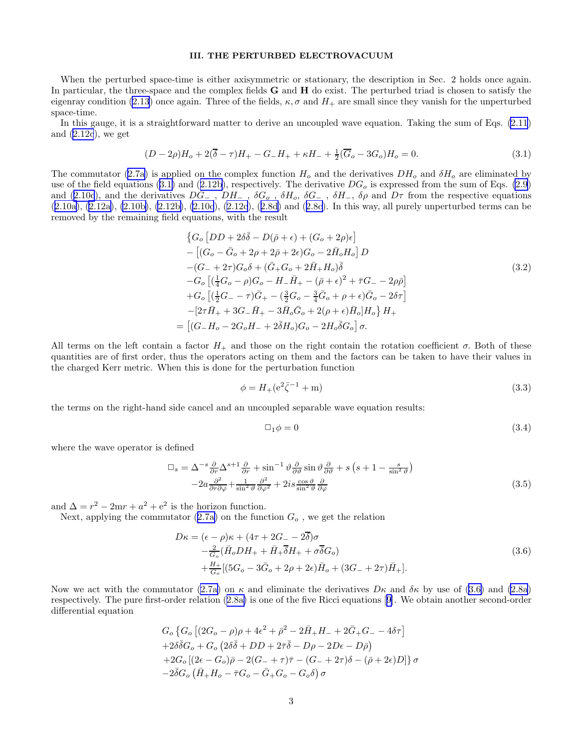### III. THE PERTURBED ELECTROVACUUM

<span id="page-2-0"></span>When the perturbed space-time is either axisymmetric or stationary, the description in Sec. 2 holds once again. In particular, the three-space and the complex fields G and H do exist. The perturbed triad is chosen to satisfy the eigenray condition [\(2.13](#page-1-0)) once again. Three of the fields,  $\kappa, \sigma$  and  $H_+$  are small since they vanish for the unperturbed space-time.

In this gauge, it is a straightforward matter to derive an uncoupled wave equation. Taking the sum of Eqs. [\(2.11](#page-1-0)) and  $(2.12c)$ , we get

$$
(D - 2\rho)H_o + 2(\overline{\delta} - \tau)H_+ - G_-H_+ + \kappa H_- + \frac{1}{2}(\overline{G}_o - 3G_o)H_o = 0.
$$
\n(3.1)

The commutator [\(2.7a](#page-1-0)) is applied on the complex function  $H_0$  and the derivatives  $DH_0$  and  $\delta H_0$  are eliminated by useof the field equations (3.1) and ([2.12b](#page-1-0)), respectively. The derivative  $DG<sub>o</sub>$  is expressed from the sum of Eqs. [\(2.9](#page-1-0)) and [\(2.10c](#page-1-0)), and the derivatives  $DG_$ ,  $DH_$ ,  $\delta G_0$ ,  $\delta H_0$ ,  $\delta G_-$ ,  $\delta H_-$ ,  $\delta \rho$  and  $D\tau$  from the respective equations ([2.10a\)](#page-1-0), [\(2.12a\)](#page-1-0), [\(2.10b\)](#page-1-0), [\(2.12b\)](#page-1-0), [\(2.10c](#page-1-0)),([2.12c](#page-1-0)),([2.8d\)](#page-1-0) and([2.8c](#page-1-0)). In this way, all purely unperturbed terms can be removed by the remaining field equations, with the result

$$
\{G_o [DD + 2\delta\bar{\delta} - D(\bar{\rho} + \epsilon) + (G_o + 2\rho)\epsilon] - [(G_o - \bar{G}_o + 2\rho + 2\bar{\rho} + 2\epsilon)G_o - 2\bar{H}_oH_o] D -(G_- + 2\tau)G_o\delta + (\bar{G}_+G_o + 2\bar{H}_+H_o)\bar{\delta} - G_o [(\frac{1}{4}G_o - \rho)G_o - H_- \bar{H}_+ - (\bar{\rho} + \epsilon)^2 + \bar{\tau}G_- - 2\rho\bar{\rho}] + G_o [(\frac{1}{2}G_- - \tau)\bar{G}_+ - (\frac{3}{2}G_o - \frac{3}{4}\bar{G}_o + \rho + \epsilon)\bar{G}_o - 2\delta\tau] - [2\tau\bar{H}_+ + 3G_- \bar{H}_+ - 3\bar{H}_o\bar{G}_o + 2(\rho + \epsilon)\bar{H}_o]H_o\} H_+ = [(G_- H_o - 2G_oH_- + 2\bar{\delta}H_o)G_o - 2H_o\bar{\delta}G_o] \sigma.
$$
\n
$$
(3.2)
$$

All terms on the left contain a factor  $H_+$  and those on the right contain the rotation coefficient  $\sigma$ . Both of these quantities are of first order, thus the operators acting on them and the factors can be taken to have their values in the charged Kerr metric. When this is done for the perturbation function

$$
\phi = H_{+}(\mathrm{e}^{2}\bar{\zeta}^{-1} + \mathrm{m})\tag{3.3}
$$

the terms on the right-hand side cancel and an uncoupled separable wave equation results:

$$
\Box_1 \phi = 0 \tag{3.4}
$$

where the wave operator is defined

$$
\Box_s = \Delta^{-s} \frac{\partial}{\partial r} \Delta^{s+1} \frac{\partial}{\partial r} + \sin^{-1} \vartheta \frac{\partial}{\partial \vartheta} \sin \vartheta \frac{\partial}{\partial \vartheta} + s \left( s + 1 - \frac{s}{\sin^2 \vartheta} \right) - 2a \frac{\partial^2}{\partial r \partial \varphi} + \frac{1}{\sin^2 \vartheta} \frac{\partial^2}{\partial \varphi^2} + 2is \frac{\cos \vartheta}{\sin^2 \vartheta} \frac{\partial}{\partial \varphi}
$$
(3.5)

and  $\Delta = r^2 - 2mr + a^2 + e^2$  is the horizon function.

=

Next,applying the commutator  $(2.7a)$  $(2.7a)$  on the function  $G<sub>o</sub>$ , we get the relation

$$
D\kappa = (\epsilon - \rho)\kappa + (4\tau + 2G_{-} - 2\overline{\delta})\sigma - \frac{2}{G_o}(\overline{H}_o D H_{+} + \overline{H}_{+} \overline{\delta} H_{+} + \sigma \overline{\delta} G_o) + \frac{H_{+}}{G_o}[(5G_o - 3\overline{G}_o + 2\rho + 2\epsilon)\overline{H}_o + (3G_{-} + 2\tau)\overline{H}_{+}].
$$
\n(3.6)

Now we act with the commutator [\(2.7a](#page-1-0)) on  $\kappa$  and eliminate the derivatives  $D\kappa$  and  $\delta\kappa$  by use of (3.6) and [\(2.8a](#page-1-0)) respectively. The pure first-order relation([2.8a\)](#page-1-0) is one of the five Ricci equations[[9\]](#page-3-0). We obtain another second-order differential equation

$$
G_o \left\{ G_o \left[ (2G_o - \rho)\rho + 4\epsilon^2 + \bar{\rho}^2 - 2\bar{H}_+ H_- + 2\bar{G}_+ G_- - 4\delta\tau \right] \right.+ 2\delta\bar{\delta}G_o + G_o \left( 2\delta\bar{\delta} + DD + 2\bar{\tau}\bar{\delta} - D\rho - 2D\epsilon - D\bar{\rho} \right)+ 2G_o \left[ (2\epsilon - G_o)\bar{\rho} - 2(G_- + \tau)\bar{\tau} - (G_- + 2\tau)\delta - (\bar{\rho} + 2\epsilon)D \right] \right\}\sigma- 2\bar{\delta}G_o \left( \bar{H}_+ H_o - \bar{\tau}G_o - \bar{G}_+ G_o - G_o\delta \right)\sigma
$$